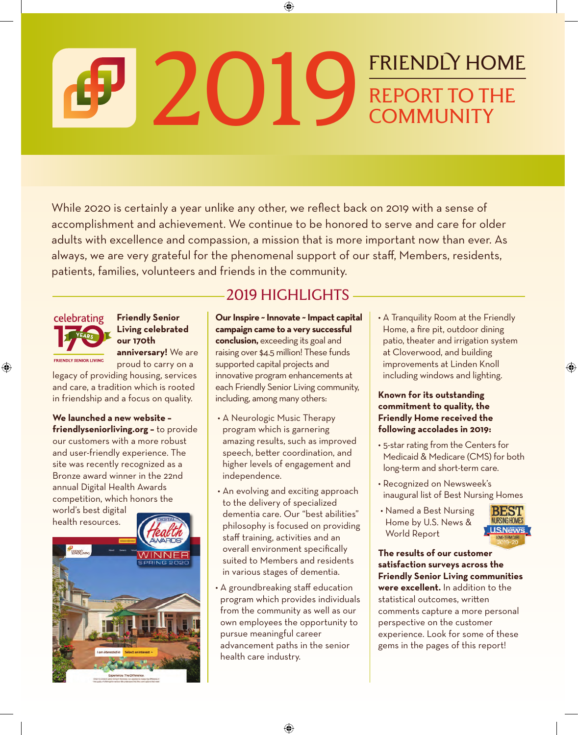# 2019 FRIENDLY HOME REPORT TO THE **COMMUNITY**

While 2020 is certainly a year unlike any other, we reflect back on 2019 with a sense of accomplishment and achievement. We continue to be honored to serve and care for older adults with excellence and compassion, a mission that is more important now than ever. As always, we are very grateful for the phenomenal support of our staff, Members, residents, patients, families, volunteers and friends in the community.



**Friendly Senior Living celebrated our 170th** 

**anniversary!** We are proud to carry on a

legacy of providing housing, services and care, a tradition which is rooted in friendship and a focus on quality.

**We launched a new website – friendlyseniorliving.org –** to provide our customers with a more robust and user-friendly experience. The site was recently recognized as a Bronze award winner in the 22nd annual Digital Health Awards competition, which honors the world's best digital



### 2019 HIGHLIGHTS

**Our Inspire ~ Innovate ~ Impact capital campaign came to a very successful conclusion,** exceeding its goal and raising over \$4.5 million! These funds supported capital projects and innovative program enhancements at each Friendly Senior Living community, including, among many others:

- A Neurologic Music Therapy program which is garnering amazing results, such as improved speech, better coordination, and higher levels of engagement and independence.
- An evolving and exciting approach to the delivery of specialized dementia care. Our "best abilities" philosophy is focused on providing staff training, activities and an overall environment specifically suited to Members and residents in various stages of dementia.
- A groundbreaking staff education program which provides individuals from the community as well as our own employees the opportunity to pursue meaningful career advancement paths in the senior health care industry.

• A Tranquility Room at the Friendly Home, a fire pit, outdoor dining patio, theater and irrigation system at Cloverwood, and building improvements at Linden Knoll including windows and lighting.

#### **Known for its outstanding commitment to quality, the Friendly Home received the following accolades in 2019:**

- 5-star rating from the Centers for Medicaid & Medicare (CMS) for both long-term and short-term care.
- Recognized on Newsweek's inaugural list of Best Nursing Homes
- Named a Best Nursing Home by U.S. News & World Report



**The results of our customer satisfaction surveys across the Friendly Senior Living communities were excellent.** In addition to the statistical outcomes, written comments capture a more personal perspective on the customer experience. Look for some of these gems in the pages of this report!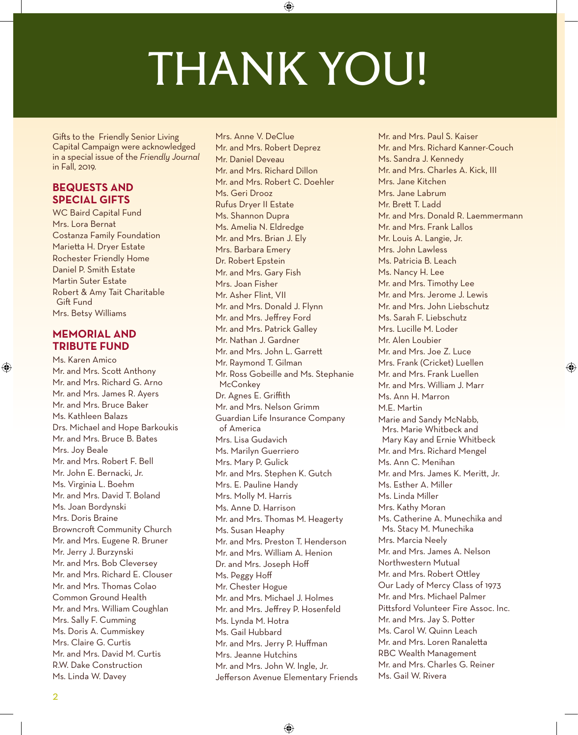# THANK YOU!

Gifts to the Friendly Senior Living Capital Campaign were acknowledged in a special issue of the *Friendly Journal* in Fall, 2019.

#### **BEQUESTS AND SPECIAL GIFTS**

WC Baird Capital Fund Mrs. Lora Bernat Costanza Family Foundation Marietta H. Dryer Estate Rochester Friendly Home Daniel P. Smith Estate Martin Suter Estate Robert & Amy Tait Charitable Gift Fund Mrs. Betsy Williams

#### **MEMORIAL AND TRIBUTE FUND**

Ms. Karen Amico Mr. and Mrs. Scott Anthony Mr. and Mrs. Richard G. Arno Mr. and Mrs. James R. Ayers Mr. and Mrs. Bruce Baker Ms. Kathleen Balazs Drs. Michael and Hope Barkoukis Mr. and Mrs. Bruce B. Bates Mrs. Joy Beale Mr. and Mrs. Robert F. Bell Mr. John E. Bernacki, Jr. Ms. Virginia L. Boehm Mr. and Mrs. David T. Boland Ms. Joan Bordynski Mrs. Doris Braine Browncroft Community Church Mr. and Mrs. Eugene R. Bruner Mr. Jerry J. Burzynski Mr. and Mrs. Bob Cleversey Mr. and Mrs. Richard E. Clouser Mr. and Mrs. Thomas Colao Common Ground Health Mr. and Mrs. William Coughlan Mrs. Sally F. Cumming Ms. Doris A. Cummiskey Mrs. Claire G. Curtis Mr. and Mrs. David M. Curtis R.W. Dake Construction Ms. Linda W. Davey

Mrs. Anne V. DeClue Mr. and Mrs. Robert Deprez Mr. Daniel Deveau Mr. and Mrs. Richard Dillon Mr. and Mrs. Robert C. Doehler Ms. Geri Drooz Rufus Dryer II Estate Ms. Shannon Dupra Ms. Amelia N. Eldredge Mr. and Mrs. Brian J. Ely Mrs. Barbara Emery Dr. Robert Epstein Mr. and Mrs. Gary Fish Mrs. Joan Fisher Mr. Asher Flint, VII Mr. and Mrs. Donald J. Flynn Mr. and Mrs. Jeffrey Ford Mr. and Mrs. Patrick Galley Mr. Nathan J. Gardner Mr. and Mrs. John L. Garrett Mr. Raymond T. Gilman Mr. Ross Gobeille and Ms. Stephanie **McConkey** Dr. Agnes E. Griffith Mr. and Mrs. Nelson Grimm Guardian Life Insurance Company of America Mrs. Lisa Gudavich Ms. Marilyn Guerriero Mrs. Mary P. Gulick Mr. and Mrs. Stephen K. Gutch Mrs. E. Pauline Handy Mrs. Molly M. Harris Ms. Anne D. Harrison Mr. and Mrs. Thomas M. Heagerty Ms. Susan Heaphy Mr. and Mrs. Preston T. Henderson Mr. and Mrs. William A. Henion Dr. and Mrs. Joseph Hoff Ms. Peggy Hoff Mr. Chester Hogue Mr. and Mrs. Michael J. Holmes Mr. and Mrs. Jeffrey P. Hosenfeld Ms. Lynda M. Hotra Ms. Gail Hubbard Mr. and Mrs. Jerry P. Huffman Mrs. Jeanne Hutchins Mr. and Mrs. John W. Ingle, Jr. Jefferson Avenue Elementary Friends

Mr. and Mrs. Paul S. Kaiser Mr. and Mrs. Richard Kanner-Couch Ms. Sandra J. Kennedy Mr. and Mrs. Charles A. Kick, III Mrs. Jane Kitchen Mrs. Jane Labrum Mr. Brett T. Ladd Mr. and Mrs. Donald R. Laemmermann Mr. and Mrs. Frank Lallos Mr. Louis A. Langie, Jr. Mrs. John Lawless Ms. Patricia B. Leach Ms. Nancy H. Lee Mr. and Mrs. Timothy Lee Mr. and Mrs. Jerome J. Lewis Mr. and Mrs. John Liebschutz Ms. Sarah F. Liebschutz Mrs. Lucille M. Loder Mr. Alen Loubier Mr. and Mrs. Joe Z. Luce Mrs. Frank (Cricket) Luellen Mr. and Mrs. Frank Luellen Mr. and Mrs. William J. Marr Ms. Ann H. Marron M.E. Martin Marie and Sandy McNabb, Mrs. Marie Whitbeck and Mary Kay and Ernie Whitbeck Mr. and Mrs. Richard Mengel Ms. Ann C. Menihan Mr. and Mrs. James K. Meritt, Jr. Ms. Esther A. Miller Ms. Linda Miller Mrs. Kathy Moran Ms. Catherine A. Munechika and Ms. Stacy M. Munechika Mrs. Marcia Neely Mr. and Mrs. James A. Nelson Northwestern Mutual Mr. and Mrs. Robert Ottley Our Lady of Mercy Class of 1973 Mr. and Mrs. Michael Palmer Pittsford Volunteer Fire Assoc. Inc. Mr. and Mrs. Jay S. Potter Ms. Carol W. Quinn Leach Mr. and Mrs. Loren Ranaletta RBC Wealth Management Mr. and Mrs. Charles G. Reiner Ms. Gail W. Rivera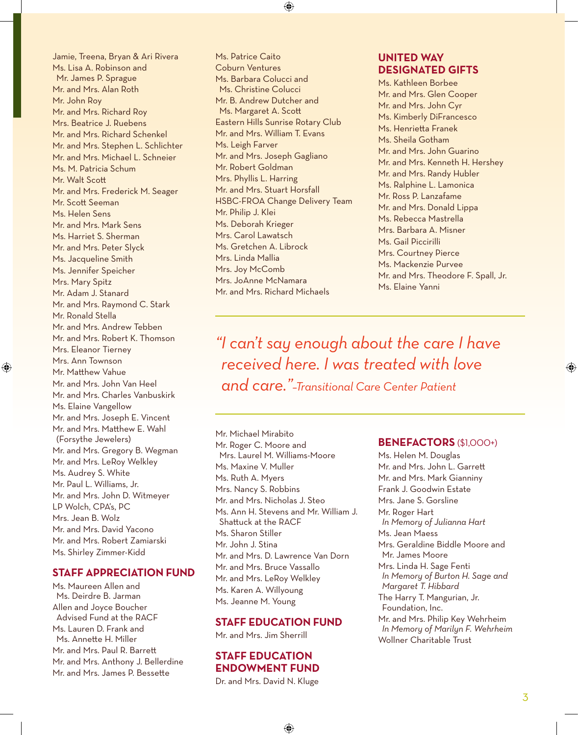Jamie, Treena, Bryan & Ari Rivera Ms. Lisa A. Robinson and Mr. James P. Sprague Mr. and Mrs. Alan Roth Mr. John Roy Mr. and Mrs. Richard Roy Mrs. Beatrice J. Ruebens Mr. and Mrs. Richard Schenkel Mr. and Mrs. Stephen L. Schlichter Mr. and Mrs. Michael L. Schneier Ms. M. Patricia Schum Mr. Walt Scott Mr. and Mrs. Frederick M. Seager Mr. Scott Seeman Ms. Helen Sens Mr. and Mrs. Mark Sens Ms. Harriet S. Sherman Mr. and Mrs. Peter Slyck Ms. Jacqueline Smith Ms. Jennifer Speicher Mrs. Mary Spitz Mr. Adam J. Stanard Mr. and Mrs. Raymond C. Stark Mr. Ronald Stella Mr. and Mrs. Andrew Tebben Mr. and Mrs. Robert K. Thomson Mrs. Eleanor Tierney Mrs. Ann Townson Mr. Matthew Vahue Mr. and Mrs. John Van Heel Mr. and Mrs. Charles Vanbuskirk Ms. Elaine Vangellow Mr. and Mrs. Joseph E. Vincent Mr. and Mrs. Matthew E. Wahl (Forsythe Jewelers) Mr. and Mrs. Gregory B. Wegman Mr. and Mrs. LeRoy Welkley Ms. Audrey S. White Mr. Paul L. Williams, Jr. Mr. and Mrs. John D. Witmeyer LP Wolch, CPA's, PC Mrs. Jean B. Wolz Mr. and Mrs. David Yacono Mr. and Mrs. Robert Zamiarski Ms. Shirley Zimmer-Kidd

#### **STAFF APPRECIATION FUND**

Ms. Maureen Allen and Ms. Deirdre B. Jarman Allen and Joyce Boucher Advised Fund at the RACF Ms. Lauren D. Frank and Ms. Annette H. Miller Mr. and Mrs. Paul R. Barrett Mr. and Mrs. Anthony J. Bellerdine Mr. and Mrs. James P. Bessette

Ms. Patrice Caito Coburn Ventures Ms. Barbara Colucci and Ms. Christine Colucci Mr. B. Andrew Dutcher and Ms. Margaret A. Scott Eastern Hills Sunrise Rotary Club Mr. and Mrs. William T. Evans Ms. Leigh Farver Mr. and Mrs. Joseph Gagliano Mr. Robert Goldman Mrs. Phyllis L. Harring Mr. and Mrs. Stuart Horsfall HSBC-FROA Change Delivery Team Mr. Philip J. Klei Ms. Deborah Krieger Mrs. Carol Lawatsch Ms. Gretchen A. Librock Mrs. Linda Mallia Mrs. Joy McComb Mrs. JoAnne McNamara Mr. and Mrs. Richard Michaels

#### **UNITED WAY DESIGNATED GIFTS**

Ms. Kathleen Borbee Mr. and Mrs. Glen Cooper Mr. and Mrs. John Cyr Ms. Kimberly DiFrancesco Ms. Henrietta Franek Ms. Sheila Gotham Mr. and Mrs. John Guarino Mr. and Mrs. Kenneth H. Hershey Mr. and Mrs. Randy Hubler Ms. Ralphine L. Lamonica Mr. Ross P. Lanzafame Mr. and Mrs. Donald Lippa Ms. Rebecca Mastrella Mrs. Barbara A. Misner Ms. Gail Piccirilli Mrs. Courtney Pierce Ms. Mackenzie Purvee Mr. and Mrs. Theodore F. Spall, Jr. Ms. Elaine Yanni

*"I can't say enough about the care I have received here. I was treated with love and care."–Transitional Care Center Patient*

Mr. Michael Mirabito Mr. Roger C. Moore and Mrs. Laurel M. Williams-Moore Ms. Maxine V. Muller Ms. Ruth A. Myers Mrs. Nancy S. Robbins Mr. and Mrs. Nicholas J. Steo Ms. Ann H. Stevens and Mr. William J. Shattuck at the RACF Ms. Sharon Stiller Mr. John J. Stina Mr. and Mrs. D. Lawrence Van Dorn Mr. and Mrs. Bruce Vassallo Mr. and Mrs. LeRoy Welkley Ms. Karen A. Willyoung Ms. Jeanne M. Young

#### **STAFF EDUCATION FUND**

Mr. and Mrs. Jim Sherrill

#### **STAFF EDUCATION ENDOWMENT FUND**

Dr. and Mrs. David N. Kluge

#### **BENEFACTORS** (\$1,000+)

Ms. Helen M. Douglas Mr. and Mrs. John L. Garrett Mr. and Mrs. Mark Gianniny Frank J. Goodwin Estate Mrs. Jane S. Gorsline Mr. Roger Hart *In Memory of Julianna Hart* Ms. Jean Maess Mrs. Geraldine Biddle Moore and Mr. James Moore Mrs. Linda H. Sage Fenti *In Memory of Burton H. Sage and Margaret T. Hibbard* The Harry T. Mangurian, Jr. Foundation, Inc. Mr. and Mrs. Philip Key Wehrheim *In Memory of Marilyn F. Wehrheim*

Wollner Charitable Trust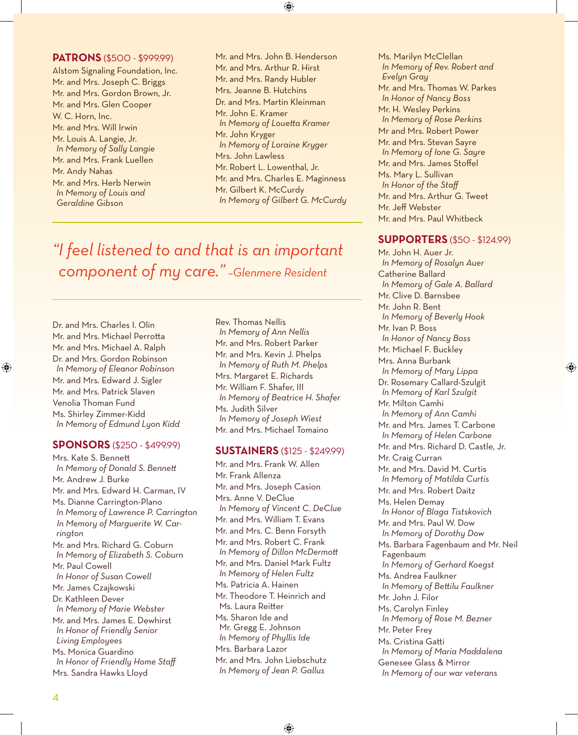#### **PATRONS** (\$500 - \$999.99)

Alstom Signaling Foundation, Inc. Mr. and Mrs. Joseph C. Briggs Mr. and Mrs. Gordon Brown, Jr. Mr. and Mrs. Glen Cooper W. C. Horn, Inc. Mr. and Mrs. Will Irwin Mr. Louis A. Langie, Jr. *In Memory of Sally Langie* Mr. and Mrs. Frank Luellen Mr. Andy Nahas Mr. and Mrs. Herb Nerwin *In Memory of Louis and Geraldine Gibson*

Mr. and Mrs. John B. Henderson Mr. and Mrs. Arthur R. Hirst Mr. and Mrs. Randy Hubler Mrs. Jeanne B. Hutchins Dr. and Mrs. Martin Kleinman Mr. John E. Kramer *In Memory of Louetta Kramer* Mr. John Kryger *In Memory of Loraine Kryger* Mrs. John Lawless Mr. Robert L. Lowenthal, Jr. Mr. and Mrs. Charles E. Maginness Mr. Gilbert K. McCurdy *In Memory of Gilbert G. McCurdy*

*"I feel listened to and that is an important component of my care." –Glenmere Resident*

Dr. and Mrs. Charles I. Olin Mr. and Mrs. Michael Perrotta Mr. and Mrs. Michael A. Ralph Dr. and Mrs. Gordon Robinson *In Memory of Eleanor Robinson* Mr. and Mrs. Edward J. Sigler Mr. and Mrs. Patrick Slaven Venolia Thoman Fund Ms. Shirley Zimmer-Kidd *In Memory of Edmund Lyon Kidd*

#### **SPONSORS** (\$250 - \$499.99)

Mrs. Kate S. Bennett *In Memory of Donald S. Bennett* Mr. Andrew J. Burke Mr. and Mrs. Edward H. Carman, IV Ms. Dianne Carrington-Plano *In Memory of Lawrence P. Carrington In Memory of Marguerite W. Carrington* Mr. and Mrs. Richard G. Coburn *In Memory of Elizabeth S. Coburn* Mr. Paul Cowell *In Honor of Susan Cowell* Mr. James Czajkowski Dr. Kathleen Dever *In Memory of Marie Webster* Mr. and Mrs. James E. Dewhirst *In Honor of Friendly Senior Living Employees* Ms. Monica Guardino *In Honor of Friendly Home Staff* Mrs. Sandra Hawks Lloyd

Rev. Thomas Nellis *In Memory of Ann Nellis* Mr. and Mrs. Robert Parker Mr. and Mrs. Kevin J. Phelps *In Memory of Ruth M. Phelps* Mrs. Margaret E. Richards Mr. William F. Shafer, III *In Memory of Beatrice H. Shafer* Ms. Judith Silver *In Memory of Joseph Wiest* Mr. and Mrs. Michael Tomaino

#### **SUSTAINERS** (\$125 - \$249.99)

Mr. and Mrs. Frank W. Allen Mr. Frank Allenza Mr. and Mrs. Joseph Casion Mrs. Anne V. DeClue *In Memory of Vincent C. DeClue* Mr. and Mrs. William T. Evans Mr. and Mrs. C. Benn Forsyth Mr. and Mrs. Robert C. Frank *In Memory of Dillon McDermott* Mr. and Mrs. Daniel Mark Fultz *In Memory of Helen Fultz* Ms. Patricia A. Hainen Mr. Theodore T. Heinrich and Ms. Laura Reitter Ms. Sharon Ide and Mr. Gregg E. Johnson *In Memory of Phyllis Ide* Mrs. Barbara Lazor Mr. and Mrs. John Liebschutz *In Memory of Jean P. Gallus*

Ms. Marilyn McClellan *In Memory of Rev. Robert and Evelyn Gray* Mr. and Mrs. Thomas W. Parkes *In Honor of Nancy Boss* Mr. H. Wesley Perkins *In Memory of Rose Perkins* Mr and Mrs. Robert Power Mr. and Mrs. Stevan Sayre *In Memory of Ione G. Sayre* Mr. and Mrs. James Stoffel Ms. Mary L. Sullivan *In Honor of the Staff* Mr. and Mrs. Arthur G. Tweet Mr. Jeff Webster Mr. and Mrs. Paul Whitbeck

#### **SUPPORTERS** (\$50 - \$124.99)

Mr. John H. Auer Jr. *In Memory of Rosalyn Auer* Catherine Ballard *In Memory of Gale A. Ballard* Mr. Clive D. Barnsbee Mr. John R. Bent *In Memory of Beverly Hook* Mr. Ivan P. Boss *In Honor of Nancy Boss* Mr. Michael F. Buckley Mrs. Anna Burbank *In Memory of Mary Lippa* Dr. Rosemary Callard-Szulgit *In Memory of Karl Szulgit* Mr. Milton Camhi *In Memory of Ann Camhi* Mr. and Mrs. James T. Carbone *In Memory of Helen Carbone* Mr. and Mrs. Richard D. Castle, Jr. Mr. Craig Curran Mr. and Mrs. David M. Curtis *In Memory of Matilda Curtis* Mr. and Mrs. Robert Daitz Ms. Helen Demay *In Honor of Blaga Tistskovich* Mr. and Mrs. Paul W. Dow *In Memory of Dorothy Dow* Ms. Barbara Fagenbaum and Mr. Neil Fagenbaum *In Memory of Gerhard Koegst* Ms. Andrea Faulkner *In Memory of Bettilu Faulkner* Mr. John J. Filor Ms. Carolyn Finley *In Memory of Rose M. Bezner* Mr. Peter Frey Ms. Cristina Gatti *In Memory of Maria Maddalena* Genesee Glass & Mirror *In Memory of our war veterans*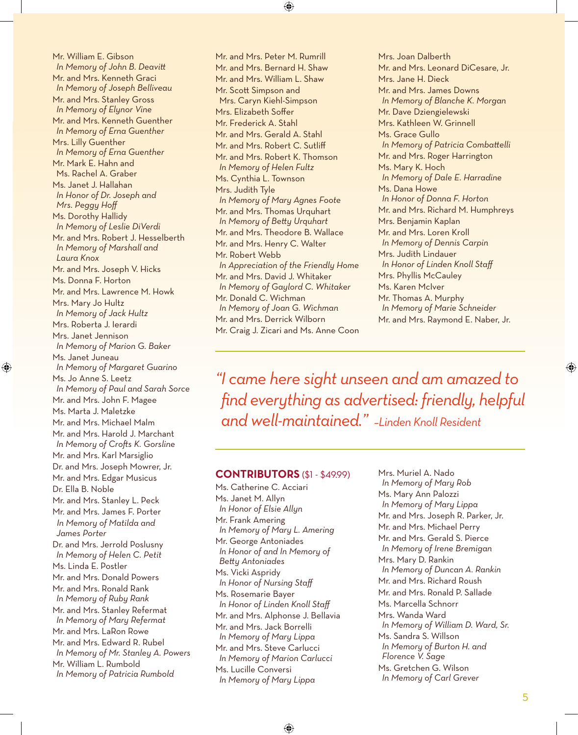Mr. William E. Gibson *In Memory of John B. Deavitt* Mr. and Mrs. Kenneth Graci *In Memory of Joseph Belliveau* Mr. and Mrs. Stanley Gross *In Memory of Elynor Vine* Mr. and Mrs. Kenneth Guenther *In Memory of Erna Guenther* Mrs. Lilly Guenther *In Memory of Erna Guenther* Mr. Mark E. Hahn and Ms. Rachel A. Graber Ms. Janet J. Hallahan *In Honor of Dr. Joseph and Mrs. Peggy Hoff* Ms. Dorothy Hallidy *In Memory of Leslie DiVerdi* Mr. and Mrs. Robert J. Hesselberth *In Memory of Marshall and Laura Knox* Mr. and Mrs. Joseph V. Hicks Ms. Donna F. Horton Mr. and Mrs. Lawrence M. Howk Mrs. Mary Jo Hultz *In Memory of Jack Hultz* Mrs. Roberta J. Ierardi Mrs. Janet Jennison *In Memory of Marion G. Baker* Ms. Janet Juneau *In Memory of Margaret Guarino* Ms. Jo Anne S. Leetz *In Memory of Paul and Sarah Sorce* Mr. and Mrs. John F. Magee Ms. Marta J. Maletzke Mr. and Mrs. Michael Malm Mr. and Mrs. Harold J. Marchant *In Memory of Crofts K. Gorsline* Mr. and Mrs. Karl Marsiglio Dr. and Mrs. Joseph Mowrer, Jr. Mr. and Mrs. Edgar Musicus Dr. Ella B. Noble Mr. and Mrs. Stanley L. Peck Mr. and Mrs. James F. Porter  *In Memory of Matilda and James Porter* Dr. and Mrs. Jerrold Poslusny *In Memory of Helen C. Petit* Ms. Linda E. Postler Mr. and Mrs. Donald Powers Mr. and Mrs. Ronald Rank *In Memory of Ruby Rank* Mr. and Mrs. Stanley Refermat *In Memory of Mary Refermat* Mr. and Mrs. LaRon Rowe Mr. and Mrs. Edward R. Rubel *In Memory of Mr. Stanley A. Powers* Mr. William L. Rumbold *In Memory of Patricia Rumbold*

Mr. and Mrs. Peter M. Rumrill Mr. and Mrs. Bernard H. Shaw Mr. and Mrs. William L. Shaw Mr. Scott Simpson and Mrs. Caryn Kiehl-Simpson Mrs. Elizabeth Soffer Mr. Frederick A. Stahl Mr. and Mrs. Gerald A. Stahl Mr. and Mrs. Robert C. Sutliff Mr. and Mrs. Robert K. Thomson *In Memory of Helen Fultz* Ms. Cynthia L. Townson Mrs. Judith Tyle *In Memory of Mary Agnes Foote* Mr. and Mrs. Thomas Urquhart *In Memory of Betty Urquhart* Mr. and Mrs. Theodore B. Wallace Mr. and Mrs. Henry C. Walter Mr. Robert Webb *In Appreciation of the Friendly Home* Mr. and Mrs. David J. Whitaker *In Memory of Gaylord C. Whitaker* Mr. Donald C. Wichman *In Memory of Joan G. Wichman* Mr. and Mrs. Derrick Wilborn Mr. Craig J. Zicari and Ms. Anne Coon Mrs. Joan Dalberth Mr. and Mrs. Leonard DiCesare, Jr. Mrs. Jane H. Dieck Mr. and Mrs. James Downs *In Memory of Blanche K. Morgan* Mr. Dave Dziengielewski Mrs. Kathleen W. Grinnell Ms. Grace Gullo *In Memory of Patricia Combattelli* Mr. and Mrs. Roger Harrington Ms. Mary K. Hoch *In Memory of Dale E. Harradine* Ms. Dana Howe *In Honor of Donna F. Horton* Mr. and Mrs. Richard M. Humphreys Mrs. Benjamin Kaplan Mr. and Mrs. Loren Kroll *In Memory of Dennis Carpin* Mrs. Judith Lindauer *In Honor of Linden Knoll Staff* Mrs. Phyllis McCauley Ms. Karen McIver Mr. Thomas A. Murphy *In Memory of Marie Schneider* Mr. and Mrs. Raymond E. Naber, Jr.

*"I came here sight unseen and am amazed to find everything as advertised: friendly, helpful and well-maintained." –Linden Knoll Resident*

#### **CONTRIBUTORS** (\$1 - \$49.99)

Ms. Catherine C. Acciari Ms. Janet M. Allyn *In Honor of Elsie Allyn* Mr. Frank Amering *In Memory of Mary L. Amering* Mr. George Antoniades *In Honor of and In Memory of Betty Antoniades* Ms. Vicki Aspridy *In Honor of Nursing Staff* Ms. Rosemarie Bayer *In Honor of Linden Knoll Staff* Mr. and Mrs. Alphonse J. Bellavia Mr. and Mrs. Jack Borrelli *In Memory of Mary Lippa* Mr. and Mrs. Steve Carlucci *In Memory of Marion Carlucci* Ms. Lucille Conversi *In Memory of Mary Lippa*

Mrs. Muriel A. Nado *In Memory of Mary Rob* Ms. Mary Ann Palozzi *In Memory of Mary Lippa* Mr. and Mrs. Joseph R. Parker, Jr. Mr. and Mrs. Michael Perry Mr. and Mrs. Gerald S. Pierce *In Memory of Irene Bremigan* Mrs. Mary D. Rankin *In Memory of Duncan A. Rankin* Mr. and Mrs. Richard Roush Mr. and Mrs. Ronald P. Sallade Ms. Marcella Schnorr Mrs. Wanda Ward *In Memory of William D. Ward, Sr.* Ms. Sandra S. Willson *In Memory of Burton H. and Florence V. Sage* Ms. Gretchen G. Wilson *In Memory of Carl Grever*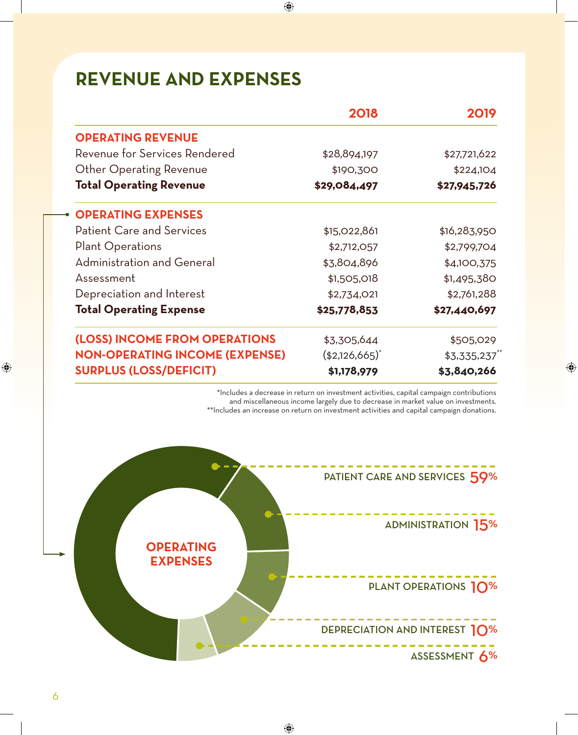## **REVENUE AND EXPENSES**

|                                       | 2018           | 2019         |
|---------------------------------------|----------------|--------------|
| <b>OPERATING REVENUE</b>              |                |              |
| Revenue for Services Rendered         | \$28,894,197   | \$27,721,622 |
| <b>Other Operating Revenue</b>        | \$190,300      | \$224,104    |
| <b>Total Operating Revenue</b>        | \$29,084,497   | \$27,945,726 |
| <b>OPERATING EXPENSES</b>             |                |              |
| <b>Patient Care and Services</b>      | \$15,022,861   | \$16,283,950 |
| <b>Plant Operations</b>               | \$2,712,057    | \$2,799,704  |
| <b>Administration and General</b>     | \$3,804,896    | \$4,100,375  |
| Assessment                            | \$1,505,018    | \$1,495,380  |
| Depreciation and Interest             | \$2,734,021    | \$2,761,288  |
| <b>Total Operating Expense</b>        | \$25,778,853   | \$27,440,697 |
| (LOSS) INCOME FROM OPERATIONS         | \$3,305,644    | \$505,029    |
| <b>NON-OPERATING INCOME (EXPENSE)</b> | $(*2,126,665)$ | \$3,335,237  |
| <b>SURPLUS (LOSS/DEFICIT)</b>         | \$1,178,979    | \$3,840,266  |

\*Includes a decrease in return on investment activities, capital campaign contributions and miscellaneous income largely due to decrease in market value on investments. \*\*Includes an increase on return on investment activities and capital campaign donations.

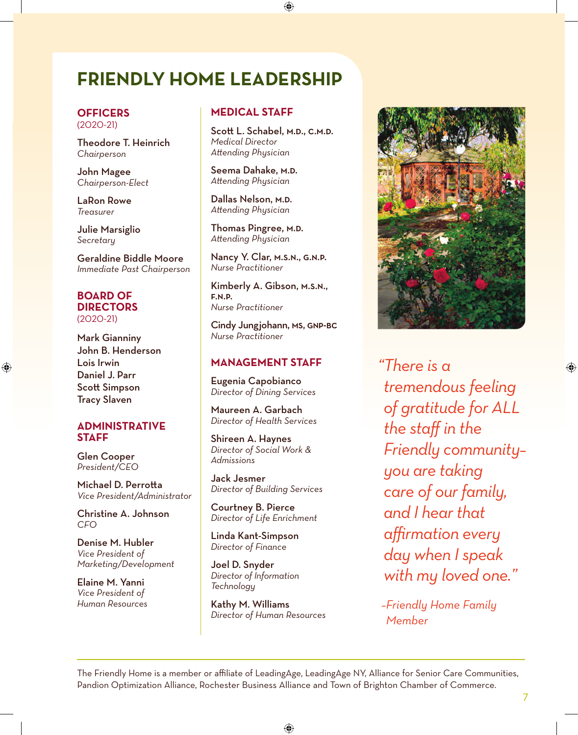### **FRIENDLY HOME LEADERSHIP**

#### **OFFICERS** (2020-21)

Theodore T. Heinrich *Chairperson*

John Magee *Chairperson-Elect*

LaRon Rowe *Treasurer*

Julie Marsiglio *Secretary*

Geraldine Biddle Moore *Immediate Past Chairperson*

#### **BOARD OF DIRECTORS** (2020-21)

Mark Gianniny John B. Henderson Lois Irwin Daniel J. Parr Scott Simpson Tracy Slaven

#### **ADMINISTRATIVE STAFF**

Glen Cooper *President/CEO*

Michael D. Perrotta *Vice President/Administrator*

Christine A. Johnson *CFO*

Denise M. Hubler *Vice President of Marketing/Development*

Elaine M. Yanni *Vice President of Human Resources*

#### **MEDICAL STAFF**

Scott L. Schabel, M.D., C.M.D. *Medical Director Attending Physician*

Seema Dahake, M.D. *Attending Physician*

Dallas Nelson, M.D. *Attending Physician*

Thomas Pingree, M.D. *Attending Physician*

Nancy Y. Clar, m.s.n., g.n.p. *Nurse Practitioner*

Kimberly A. Gibson, m.s.n., f.n.p. *Nurse Practitioner*

Cindy Jungjohann, ms, gnp-bc *Nurse Practitioner*

#### **MANAGEMENT STAFF**

Eugenia Capobianco *Director of Dining Services*

Maureen A. Garbach *Director of Health Services*

Shireen A. Haynes *Director of Social Work & Admissions*

Jack Jesmer *Director of Building Services*

Courtney B. Pierce *Director of Life Enrichment*

Linda Kant-Simpson *Director of Finance*

Joel D. Snyder *Director of Information Technology*

Kathy M. Williams *Director of Human Resources*



*"There is a tremendous feeling of gratitude for ALL the staff in the Friendly community– you are taking care of our family, and I hear that affirmation every day when I speak with my loved one."*

*–Friendly Home Family Member*

The Friendly Home is a member or affiliate of LeadingAge, LeadingAge NY, Alliance for Senior Care Communities, Pandion Optimization Alliance, Rochester Business Alliance and Town of Brighton Chamber of Commerce.